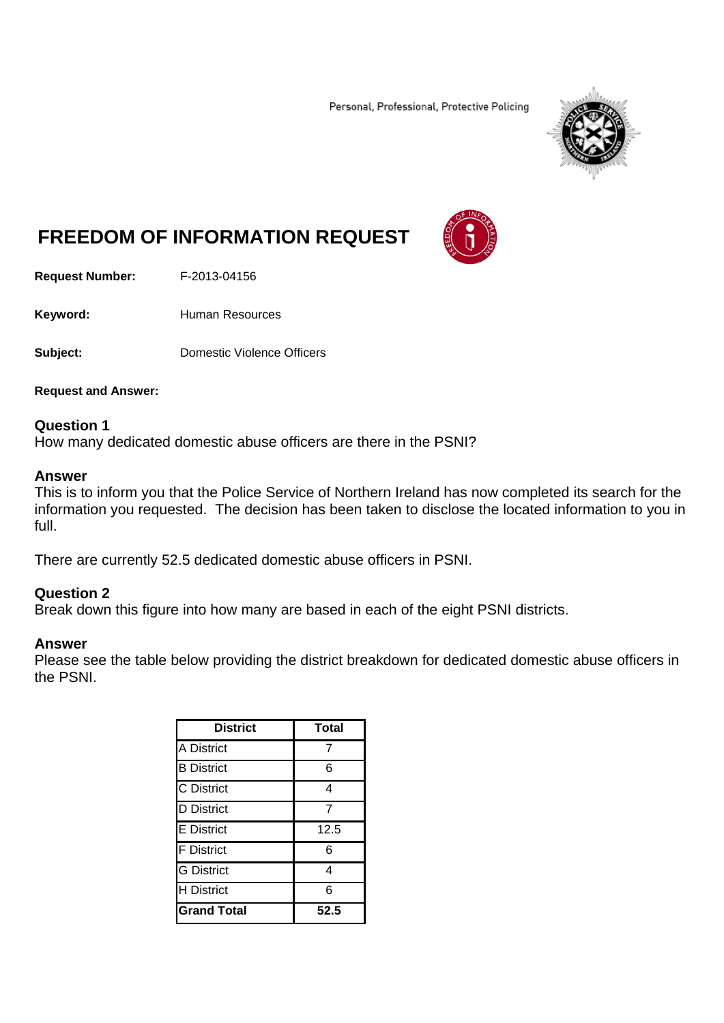Personal, Professional, Protective Policing



# **FREEDOM OF INFORMATION REQUEST**

**Request Number:** F-2013-04156

Keyword: **Human Resources** 

**Subject: Domestic Violence Officers** 

**Request and Answer:** 

#### **Question 1**

How many dedicated domestic abuse officers are there in the PSNI?

#### **Answer**

This is to inform you that the Police Service of Northern Ireland has now completed its search for the information you requested. The decision has been taken to disclose the located information to you in full.

There are currently 52.5 dedicated domestic abuse officers in PSNI.

## **Question 2**

Break down this figure into how many are based in each of the eight PSNI districts.

#### **Answer**

Please see the table below providing the district breakdown for dedicated domestic abuse officers in the PSNI.

| <b>District</b>    | <b>Total</b> |
|--------------------|--------------|
| <b>A District</b>  | 7            |
| <b>B</b> District  | 6            |
| C District         | 4            |
| <b>D</b> District  | 7            |
| E District         | 12.5         |
| <b>F</b> District  | 6            |
| <b>G</b> District  | 4            |
| <b>H</b> District  | 6            |
| <b>Grand Total</b> | 52.5         |